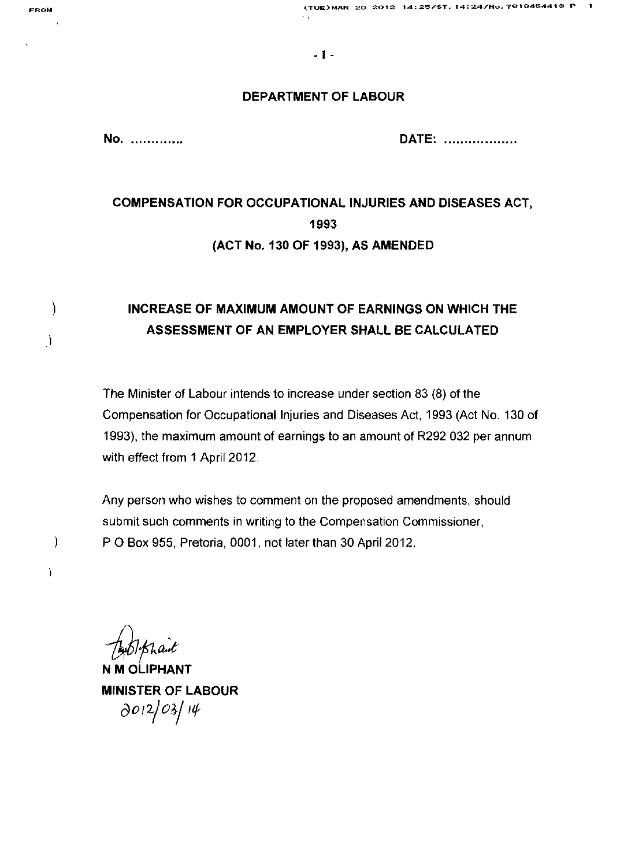**FROM (TUE)MAR 20 2012 14:25/ST.14:24/Ho.781S45441S P 1** 

#### **DEPARTMENT OF LABOUR**

**No ............. . DATE:** 

# **COMPENSATION FOR OCCUPATIONAL INJURIES AND DISEASES ACT, 1993 (ACT No. 130 OF 1993), AS AMENDED**

# **INCREASE OF MAXIMUM AMOUNT OF EARNINGS ON WHICH THE ASSESSMENT OF AN EMPLOYER SHALL BE CALCULATED**

The Minister of Labour intends to increase under section 83 (8) of the Compensation for Occupational Injuries and Diseases Act, 1993 (Act No. 130 of 1993), the maximum amount of earnings to an amount of R292 032 per annum with effect from 1 April 2012.

Any person who wishes to comment on the proposed amendments, should submit such comments in writing to the Compensation Commissioner, P 0 Box 955, Pretoria, 0001, not later than 30 April 2012.

*/J)JFa:.t* 

N **M OLlPHANT MINISTER OF LABOUR**   $\frac{\partial}{}^{O12}/\frac{\partial}{}\sin\theta}$ 

 $\mathcal{C}$ 

 $\lambda$ 

)

 $\begin{array}{c} \end{array}$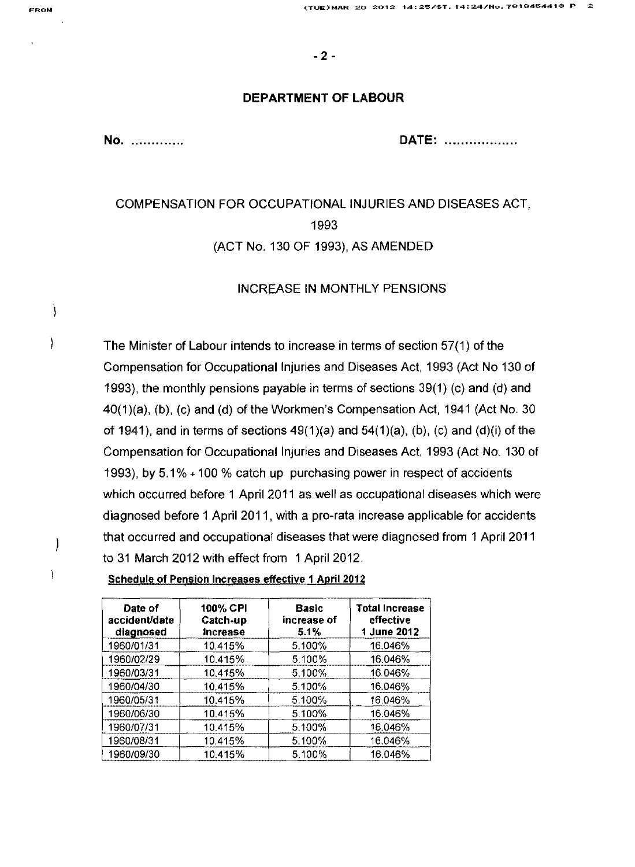#### DEPARTMENT OF LABOUR

No ............. . DATE: ................ ..

# COMPENSATION FOR OCCUPATIONAL INJURIES AND DISEASES ACT, 1993 (ACT No. 130 OF 1993), AS AMENDED

### INCREASE IN MONTHLY PENSIONS

The Minister of Labour intends to increase in terms of section 57(1) of the Compensation for Occupational Injuries and Diseases Act, 1993 (Act No 130 of 1993), the monthly pensions payable in terms of sections 39(1) (c) and (d) and 40(1 )(a), (b), (c) and (d) of the Workmen's Compensation Act, 1941 (Act No. 30 of 1941), and in terms of sections  $49(1)(a)$  and  $54(1)(a)$ , (b), (c) and (d)(i) of the Compensation for Occupational Injuries and Diseases Act, 1993 (Act No. 130 of 1993), by 5.1 % + 100 % catch up purchasing power in respect of accidents which occurred before 1 April 2011 as well as occupational diseases which were diagnosed before 1 April 2011, with a pro-rata increase applicable for accidents that occurred and occupational diseases that were diagnosed from 1 April 2011 to 31 March 2012 with effect from 1 April 2012.

| Date of<br>accident/date<br>diagnosed | 100% CPI<br>Catch-up<br><b>Increase</b> | <b>Basic</b><br>increase of<br>5.1% | <b>Total Increase</b><br>effective<br>1 June 2012 |
|---------------------------------------|-----------------------------------------|-------------------------------------|---------------------------------------------------|
| 1960/01/31                            | 10.415%                                 | 5.100%                              | 16.046%                                           |
| 1960/02/29                            | 10.415%                                 | 5.100%                              | 16.046%                                           |
| 1960/03/31                            | 10.415%                                 | 5.100%                              | 16.046%                                           |
| 1960/04/30                            | 10.415%                                 | 5.100%                              | 16.046%                                           |
| 1960/05/31                            | 10.415%                                 | 5.100%                              | 16.046%                                           |
| 1960/06/30                            | 10.415%                                 | 5.100%                              | 16.046%                                           |
| 1960/07/31                            | 10.415%                                 | 5.100%                              | 16.046%                                           |
| 1960/08/31                            | 10.415%                                 | 5.100%                              | 16.046%                                           |
| 1960/09/30                            | 10.415%                                 | 5.100%                              | 16.046%                                           |

 $\mathcal{C}$ 

 $\mathcal{C}$ 

 $\cdot$ 

Ì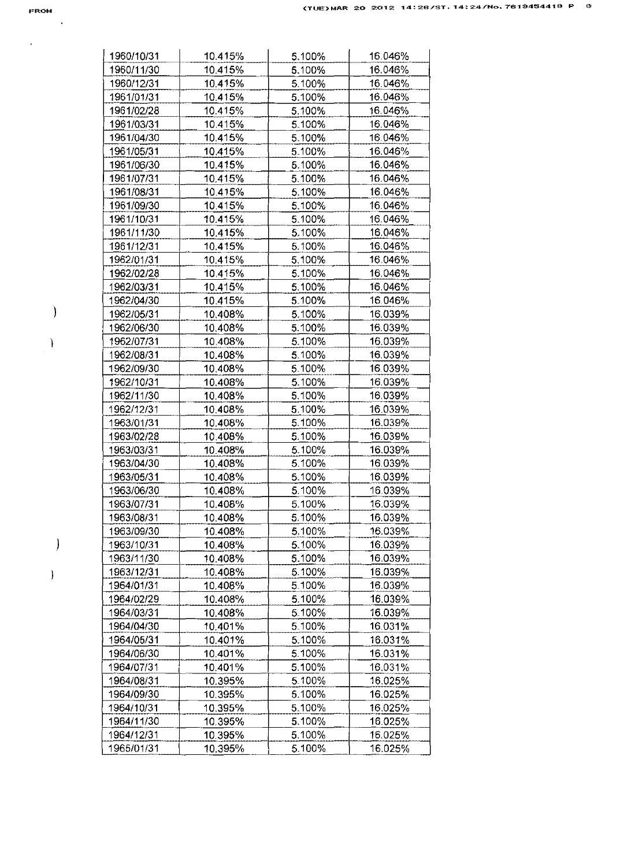$\hat{\mathcal{L}}$ 

 $\bar{\phantom{a}}$ 

 $\big)$ 

 $\begin{matrix} \end{matrix}$ 

 $\big)$ 

 $\mathcal{Y}$ 

| 1960/10/31 | 10.415% | 5.100% | 16.046% |
|------------|---------|--------|---------|
| 1960/11/30 | 10.415% | 5.100% | 16.046% |
| 1960/12/31 | 10.415% | 5.100% | 16.046% |
| 1961/01/31 | 10.415% | 5.100% | 16.046% |
| 1961/02/28 | 10.415% | 5.100% | 16.046% |
| 1961/03/31 | 10.415% | 5.100% | 16.046% |
| 1961/04/30 | 10.415% | 5.100% | 16.046% |
| 1961/05/31 | 10.415% | 5.100% | 16.046% |
| 1961/06/30 | 10.415% | 5.100% | 16.046% |
| 1961/07/31 | 10.415% | 5.100% | 16.046% |
| 1961/08/31 | 10.415% | 5.100% | 16.046% |
| 1961/09/30 | 10.415% | 5.100% | 16.046% |
| 1961/10/31 | 10.415% | 5.100% | 16.046% |
| 1961/11/30 | 10.415% | 5.100% | 16.046% |
| 1961/12/31 | 10.415% | 5.100% | 16.046% |
| 1962/01/31 | 10.415% | 5.100% | 16.046% |
| 1962/02/28 | 10.415% | 5.100% | 16.046% |
| 1962/03/31 | 10.415% | 5.100% | 16.046% |
| 1962/04/30 | 10.415% | 5.100% | 16.046% |
| 1962/05/31 | 10,408% | 5.100% | 16.039% |
| 1962/06/30 | 10.408% | 5.100% | 16.039% |
| 1962/07/31 | 10.408% | 5.100% | 16.039% |
| 1962/08/31 | 10.408% | 5.100% | 16.039% |
| 1962/09/30 | 10.408% | 5.100% | 16.039% |
| 1962/10/31 | 10.408% | 5.100% | 16.039% |
| 1962/11/30 | 10.408% | 5.100% | 16.039% |
| 1962/12/31 |         | 5.100% | 16.039% |
|            | 10.408% |        |         |
| 1963/01/31 | 10.408% | 5.100% | 16.039% |
| 1963/02/28 | 10.408% | 5.100% | 16.039% |
| 1963/03/31 | 10.408% | 5.100% | 16.039% |
| 1963/04/30 | 10.408% | 5.100% | 16.039% |
| 1963/05/31 | 10.408% | 5.100% | 16.039% |
| 1963/06/30 | 10.408% | 5.100% | 16.039% |
| 1963/07/31 | 10.408% | 5.100% | 16.039% |
| 1963/08/31 | 10.408% | 5.100% | 16.039% |
| 1963/09/30 | 10.408% | 5.100% | 16.039% |
| 1963/10/31 | 10.408% | 5.100% | 16.039% |
| 1963/11/30 | 10.408% | 5.100% | 16.039% |
| 1963/12/31 | 10.408% | 5.100% | 16.039% |
| 1964/01/31 | 10.408% | 5.100% | 16.039% |
| 1964/02/29 | 10.408% | 5.100% | 16.039% |
| 1964/03/31 | 10.408% | 5.100% | 16.039% |
| 1964/04/30 | 10.401% | 5.100% | 16.031% |
| 1964/05/31 | 10.401% | 5.100% | 16.031% |
| 1964/06/30 | 10.401% | 5.100% | 16.031% |
| 1964/07/31 | 10.401% | 5.100% | 16.031% |
| 1964/08/31 | 10.395% | 5.100% | 16.025% |
| 1964/09/30 | 10.395% | 5.100% | 16.025% |
| 1964/10/31 | 10.395% | 5.100% | 16.025% |
| 1964/11/30 | 10.395% | 5.100% | 16.025% |
| 1964/12/31 | 10.395% | 5.100% | 16.025% |
| 1965/01/31 | 10.395% | 5.100% | 16.025% |
|            |         |        |         |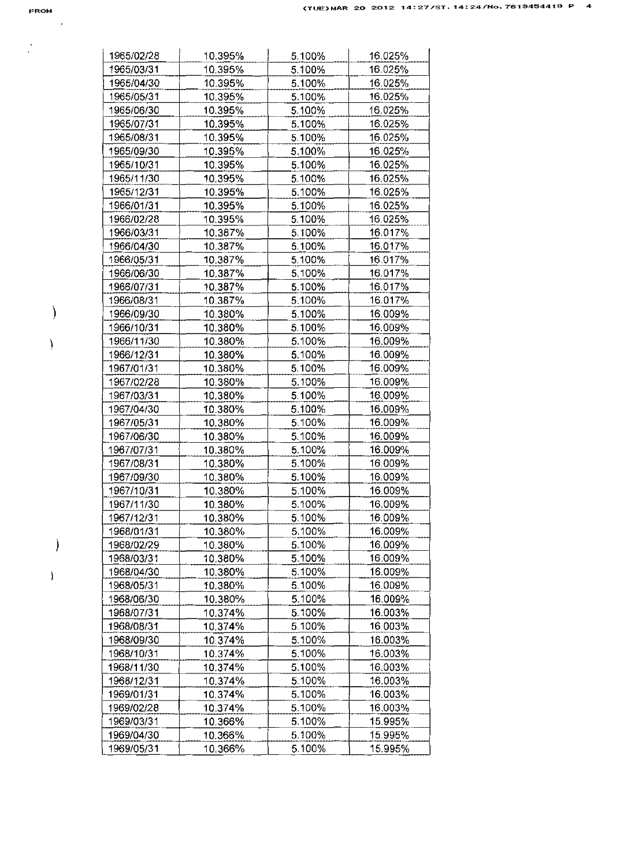$\frac{1}{2}$ 

 $\sim$ 

 $\begin{matrix} \end{matrix}$ 

 $\,$   $\,$ 

| 1965/02/28               | 10.395%            | 5.100%           | 16.025%            |
|--------------------------|--------------------|------------------|--------------------|
| 1965/03/31               | 10.395%            | 5.100%           | 16.025%            |
| 1965/04/30               | 10.395%            | 5.100%           | 16.025%            |
| 1965/05/31               | 10.395%            | 5.100%           | 16.025%            |
| 1965/06/30               | 10.395%            | 5.100%           | 16.025%            |
| 1965/07/31               | 10.395%            | 5.100%           | 16.025%            |
| 1965/08/31               | 10.395%            | 5.100%           | 16.025%            |
| 1965/09/30               | 10.395%            | 5.100%           | 16.025%            |
| 1965/10/31               | 10.395%            | 5.100%           | 16.025%            |
| 1965/11/30               | 10.395%            | 5.100%           | 16.025%            |
| 1965/12/31               | 10.395%            | 5.100%           | 16.025%            |
| 1966/01/31               | 10.395%            | 5.100%           | 16.025%            |
| 1966/02/28               | 10.395%            | 5.100%           | 16.025%            |
| 1966/03/31               | 10.387%            | 5.100%           | 16.017%            |
| 1966/04/30               | 10.387%            | 5.100%           | 16.017%            |
| 1966/05/31               | 10.387%            | 5.100%           | 16.017%            |
| 1966/06/30               | 10.387%            | 5.100%           | 16.017%            |
| 1966/07/31               | 10.387%            | 5.100%           | 16.017%            |
| 1966/08/31               | 10.387%            | 5.100%           | 16.017%            |
| 1966/09/30               | 10.380%            | 5.100%           | 16.009%            |
| 1966/10/31               | 10.380%            | 5.100%           | 16.009%            |
| 1966/11/30               | 10.380%            | 5.100%           | 16.009%            |
| 1966/12/31               | 10.380%            | 5.100%           | 16.009%            |
| 1967/01/31               | 10.380%            | 5.100%           | 16.009%            |
| 1967/02/28               | 10.380%            | 5.100%           | 16.009%            |
| 1967/03/31               | 10.380%            | 5.100%           | 16,009%            |
| 1967/04/30               | 10.380%            | 5.100%           | 16.009%            |
| 1967/05/31               | 10.380%            | 5.100%           | 16.009%            |
| 1967/06/30               | 10.380%            | 5.100%           | 16.009%            |
| 1967/07/31               | 10.380%            | 5.100%           | 16.009%            |
| 1967/08/31               | 10.380%            | 5.100%           | 16.009%            |
| 1967/09/30               | 10.380%            | 5.100%           | 16.009%            |
| 1967/10/31               | 10.380%            | 5.100%           | 16.009%            |
| 1967/11/30               | 10.380%            | 5.100%           | 16.009%            |
| 1967/12/31               | 10.380%            | 5.100%           | 16.009%            |
| 1968/01/31               | 10.380%            | 5.100%           | 16.009%            |
| 1968/02/29               | 10.380%            | 5.100%           | 16.009%            |
| 1968/03/31               | 10.380%            | 5.100%           | 16.009%            |
| 1968/04/30               | 10.380%            | 5.100%           | 16.009%            |
| 1968/05/31               | 10.380%            | 5.100%           | 16.009%            |
| 1968/06/30               | 10.380%            | 5.100%           | 16.009%            |
| 1968/07/31               | 10.374%            | 5.100%           | 16.003%            |
| 1968/08/31               | 10.374%            | 5.100%           | 16.003%            |
| 1968/09/30               | 10.374%            | 5.100%           | 16.003%            |
| 1968/10/31               | 10.374%            | 5.100%           | 16.003%            |
| 1968/11/30               | 10.374%            | 5.100%           | 16.003%            |
| 1968/12/31               | 10.374%            | 5.100%           | 16.003%            |
| 1969/01/31               | 10.374%            | 5.100%           | 16.003%            |
|                          |                    |                  |                    |
|                          |                    |                  |                    |
| 1969/02/28               | 10.374%            | 5.100%           | 16.003%            |
| 1969/03/31<br>1969/04/30 | 10.366%<br>10.366% | 5.100%<br>5.100% | 15.995%<br>15.995% |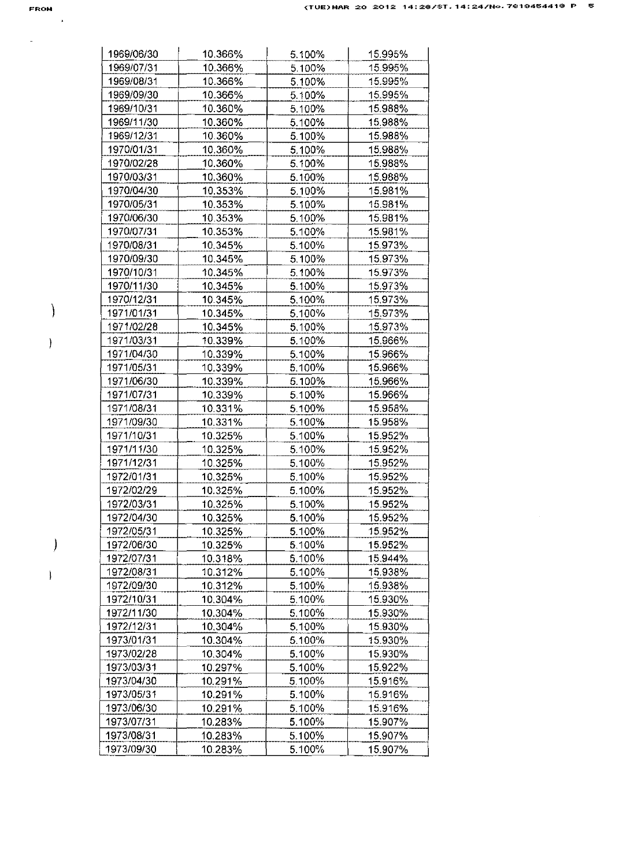$\omega_{\rm{max}}$ 

 $\sim$   $\alpha$ 

 $\big)$ 

 $\bar{1}$ 

 $\big)$ 

 $\bar{1}$ 

| 1969/06/30 | 10.366% | 5.100%           | 15.995%            |
|------------|---------|------------------|--------------------|
| 1969/07/31 | 10.366% | 5.100%           | 15.995%            |
| 1969/08/31 | 10.366% | 5.100%           | 15.995%            |
| 1969/09/30 | 10.366% | 5.100%           | 15.995%            |
| 1969/10/31 | 10.360% | 5.100%           | 15.988%            |
| 1969/11/30 | 10.360% | 5.100%           | 15.988%            |
| 1969/12/31 | 10.360% | 5.100%           | 15.988%            |
| 1970/01/31 | 10.360% | 5.100%           | 15.988%            |
| 1970/02/28 | 10.360% | 5.100%           | 15.988%            |
| 1970/03/31 | 10.360% | 5.100%           | 15.988%            |
| 1970/04/30 | 10.353% | 5.100%           | 15.981%            |
| 1970/05/31 | 10.353% | 5.100%           | 15.981%            |
| 1970/06/30 | 10.353% | 5.100%           | 15.981%            |
| 1970/07/31 | 10.353% | 5.100%           | 15.981%            |
| 1970/08/31 | 10.345% | 5.100%           | 15.973%            |
| 1970/09/30 | 10.345% | 5.100%           | 15.973%            |
| 1970/10/31 | 10.345% | 5.100%           | 15.973%            |
| 1970/11/30 | 10.345% | 5.100%           | 15.973%            |
| 1970/12/31 | 10.345% | 5.100%           | 15.973%            |
| 1971/01/31 | 10.345% | 5.100%           | 15.973%            |
| 1971/02/28 | 10.345% | 5.100%           | 15.973%            |
| 1971/03/31 | 10.339% | 5.100%           | 15.966%            |
| 1971/04/30 | 10.339% | 5.100%           | 15.966%            |
| 1971/05/31 | 10.339% | 5.100%           | 15.966%            |
| 1971/06/30 | 10.339% | 5.100%           | 15.966%            |
| 1971/07/31 | 10.339% | 5.100%           | 15.966%            |
| 1971/08/31 | 10.331% | 5.100%           | 15.958%            |
| 1971/09/30 | 10.331% | 5.100%           | 15.958%            |
| 1971/10/31 | 10.325% | 5.100%           | 15.952%            |
| 1971/11/30 | 10.325% | 5.100%           | 15.952%            |
| 1971/12/31 | 10.325% | 5.100%           | 15.952%            |
| 1972/01/31 | 10.325% | 5.100%           | 15.952%            |
| 1972/02/29 | 10.325% | 5.100%           | 15.952%            |
| 1972/03/31 | 10.325% | 5.100%           | 15.952%            |
| 1972/04/30 | 10.325% | 5.100%           | 15.952%            |
| 1972/05/31 | 10.325% | 5.100%           | 15.952%            |
| 1972/06/30 | 10.325% | 5.100%           | 15.952%            |
| 1972/07/31 | 10.318% | 5.100%           | 15.944%            |
| 1972/08/31 | 10.312% | 5.100%           | 15.938%            |
| 1972/09/30 | 10.312% | 5.100%           | 15.938%            |
| 1972/10/31 | 10.304% | 5.100%           | 15.930%            |
| 1972/11/30 | 10.304% | 5.100%           | 15.930%            |
| 1972/12/31 | 10.304% | 5.100%           | 15.930%            |
| 1973/01/31 | 10.304% | 5.100%           | 15.930%            |
| 1973/02/28 | 10.304% | 5.100%           | 15.930%            |
| 1973/03/31 | 10.297% | 5.100%           | 15.922%            |
| 1973/04/30 | 10.291% |                  |                    |
| 1973/05/31 |         | 5.100%<br>5.100% | 15.916%<br>15.916% |
| 1973/06/30 | 10.291% | 5.100%           | 15.916%            |
|            | 10.291% |                  |                    |
| 1973/07/31 | 10.283% | 5.100%           | 15.907%            |
| 1973/08/31 | 10.283% | 5.100%           | 15.907%            |
| 1973/09/30 | 10.283% | 5.100%           | 15.907%            |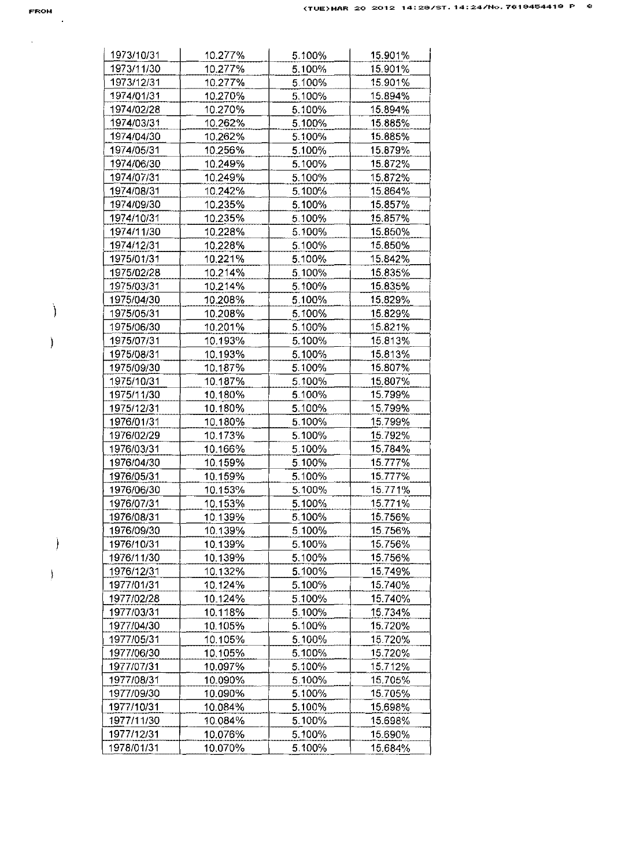| FROM |   |  |
|------|---|--|
|      | ٠ |  |

 $\Delta \sim 10^{11}$  m  $^{-1}$ 

 $\mathcal{E}$ 

 $\Big)$ 

 $\Big)$ 

 $\frac{1}{2}$ 

| 1973/10/31               | 10.277%            | 5.100%           | 15.901%            |
|--------------------------|--------------------|------------------|--------------------|
| 1973/11/30               | 10.277%            | 5.100%           | 15.901%            |
| 1973/12/31               | 10.277%            | 5.100%           | 15.901%            |
| 1974/01/31               | 10.270%            | 5.100%           | 15.894%            |
| 1974/02/28               | 10.270%            | 5.100%           | 15.894%            |
| 1974/03/31               | 10.262%            | 5.100%           | 15.885%            |
| 1974/04/30               | 10.262%            | 5.100%           | 15.885%            |
| 1974/05/31               | 10.256%            | 5.100%           | 15.879%            |
| 1974/06/30               | 10.249%            | 5.100%           | 15.872%            |
| 1974/07/31               | 10.249%            | 5.100%           | 15.872%            |
| 1974/08/31               | 10.242%            | 5.100%           | 15.864%            |
| 1974/09/30               | 10.235%            | 5.100%           | 15.857%            |
| 1974/10/31               | 10.235%            | 5.100%           | 15.857%            |
| 1974/11/30               | 10.228%            | 5.100%           | 15.850%            |
| 1974/12/31               | 10.228%            | 5.100%           | 15.850%            |
| 1975/01/31               | 10.221%            | 5.100%           | 15.842%            |
| 1975/02/28               | 10.214%            | 5.100%           | 15.835%            |
| 1975/03/31               | 10.214%            | 5.100%           | 15.835%            |
| 1975/04/30               | 10.208%            | 5.100%           | 15.829%            |
| 1975/05/31               | 10.208%            | 5.100%           | 15.829%            |
| 1975/06/30               | 10.201%            | 5.100%           | 15.821%            |
| 1975/07/31               | 10.193%            | 5.100%           | 15.813%            |
| 1975/08/31               |                    | 5.100%           | 15.813%            |
| 1975/09/30               | 10.193%<br>10.187% | 5.100%           | 15.807%            |
|                          |                    |                  |                    |
| 1975/10/31<br>1975/11/30 | 10.187%<br>10.180% | 5.100%<br>5.100% | 15.807%<br>15.799% |
|                          |                    |                  |                    |
| 1975/12/31               | 10.180%            | 5.100%           | 15.799%            |
| 1976/01/31               | 10.180%            | 5.100%           | 15.799%            |
| 1976/02/29               | 10.173%            | 5.100%           | 15.792%<br>15.784% |
| 1976/03/31               | 10.166%            | 5.100%           |                    |
| 1976/04/30               | 10.159%            | 5.100%           | 15.777%            |
| 1976/05/31               | 10.159%            | 5.100%           | 15.777%            |
| 1976/06/30               | 10.153%            | 5.100%           | 15.771%            |
| 1976/07/31               | 10.153%            | 5.100%           | 15.771%            |
| 1976/08/31               | 10.139%            | 5.100%           | 15.756%            |
| 1976/09/30               | 10.139%            | 5.100%           | 15.756%            |
| 1976/10/31               | 10.139%            | 5.100%           | 15.756%            |
| 1976/11/30               | 10.139%            | 5.100%           | 15.756%            |
| 1976/12/31               | 10.132%            | 5.100%           | 15.749%            |
| 1977/01/31               | 10.124%            | 5.100%           | 15.740%            |
| 1977/02/28               | 10.124%            | 5.100%           | 15.740%            |
| 1977/03/31               | 10.118%            | 5.100%           | 15.734%            |
| 1977/04/30               | 10.105%            | 5.100%           | 15.720%            |
| 1977/05/31               | 10.105%            | 5.100%           | 15.720%            |
| 1977/06/30               | 10.105%            | 5.100%           | 15.720%            |
| 1977/07/31               | 10.097%            | 5.100%           | 15.712%            |
| 1977/08/31               | 10.090%            | 5.100%           | 15.705%            |
| 1977/09/30               | 10.090%            | 5.100%           | 15.705%            |
| 1977/10/31               | 10.084%            | 5.100%           | 15.698%            |
| 1977/11/30               | 10.084%            | 5.100%           | 15.698%            |
| 1977/12/31               | 10.076%            | 5.100%           | 15.690%            |
| 1978/01/31               | 10.070%            | 5.100%           | 15.684%            |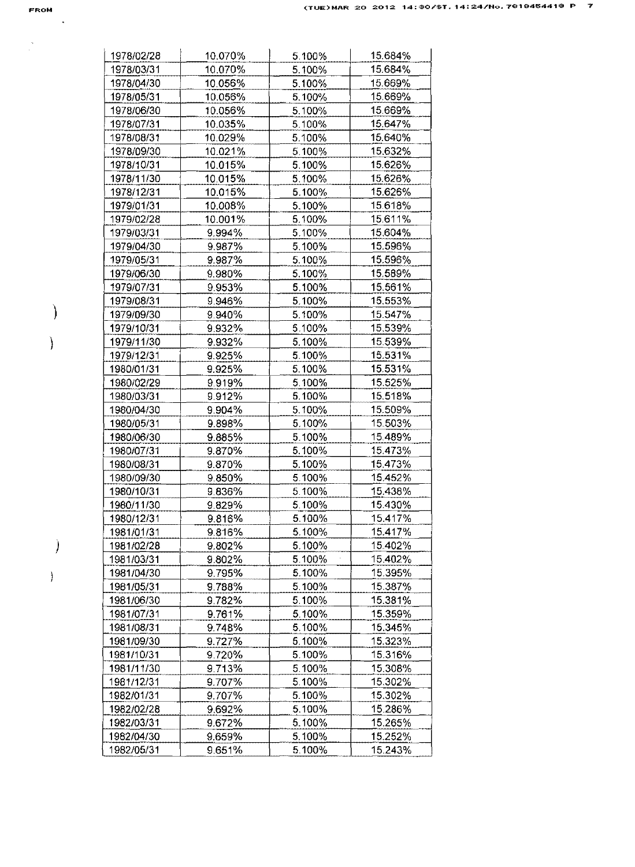$\frac{1}{\sqrt{2}}$ 

 $\mathcal{A}$ 

 $\Big)$ 

 $\big)$ 

 $\hspace{0.05cm}\rule{0.7pt}{0.1ex}\hspace{0.025cm}$ 

| 1978/02/28 | 10.070% | 5.100% | 15.684% |
|------------|---------|--------|---------|
| 1978/03/31 | 10.070% | 5.100% | 15.684% |
| 1978/04/30 | 10.056% | 5.100% | 15.669% |
| 1978/05/31 | 10.056% | 5.100% | 15.669% |
| 1978/06/30 | 10.056% | 5.100% | 15.669% |
| 1978/07/31 | 10.035% | 5.100% | 15.647% |
| 1978/08/31 | 10.029% | 5.100% | 15.640% |
| 1978/09/30 | 10.021% | 5.100% | 15.632% |
| 1978/10/31 | 10.015% | 5.100% | 15.626% |
| 1978/11/30 | 10.015% | 5.100% | 15.626% |
| 1978/12/31 | 10.015% | 5.100% | 15.626% |
| 1979/01/31 | 10.008% | 5.100% | 15.618% |
| 1979/02/28 | 10.001% | 5.100% | 15.611% |
| 1979/03/31 | 9.994%  | 5.100% | 15.604% |
| 1979/04/30 | 9.987%  | 5.100% | 15.596% |
| 1979/05/31 | 9.987%  | 5.100% | 15.596% |
| 1979/06/30 | 9.980%  | 5.100% | 15.589% |
| 1979/07/31 | 9.953%  | 5.100% | 15.561% |
| 1979/08/31 | 9.946%  | 5.100% | 15.553% |
| 1979/09/30 | 9.940%  | 5.100% | 15.547% |
| 1979/10/31 | 9.932%  | 5.100% | 15.539% |
| 1979/11/30 | 9.932%  | 5.100% | 15.539% |
| 1979/12/31 | 9.925%  | 5.100% | 15.531% |
| 1980/01/31 | 9.925%  | 5.100% | 15.531% |
| 1980/02/29 | 9.919%  | 5.100% | 15.525% |
| 1980/03/31 | 9.912%  | 5.100% | 15.518% |
| 1980/04/30 | 9.904%  | 5.100% | 15.509% |
| 1980/05/31 | 9.898%  | 5.100% | 15.503% |
| 1980/06/30 | 9.885%  | 5.100% | 15.489% |
| 1980/07/31 | 9.870%  | 5.100% | 15.473% |
| 1980/08/31 | 9.870%  | 5.100% | 15473%  |
| 1980/09/30 | 9.850%  | 5.100% | 15.452% |
| 1980/10/31 | 9.836%  | 5.100% | 15.438% |
|            |         |        |         |
| 1980/11/30 | 9.829%  | 5.100% | 15.430% |
| 1980/12/31 | 9.816%  | 5.100% | 15.417% |
| 1981/01/31 | 9.816%  | 5.100% | 15.417% |
| 1981/02/28 | 9.802%  | 5.100% | 15 402% |
| 1981/03/31 | 9.802%  | 5.100% | 15.402% |
| 1981/04/30 | 9.795%  | 5.100% | 15.395% |
| 1981/05/31 | 9.788%  | 5.100% | 15.387% |
| 1981/06/30 | 9.782%  | 5.100% | 15.381% |
| 1981/07/31 | 9.761%  | 5.100% | 15.359% |
| 1981/08/31 | 9.748%  | 5.100% | 15.345% |
| 1981/09/30 | 9.727%  | 5.100% | 15.323% |
| 1981/10/31 | 9.720%  | 5.100% | 15.316% |
| 1981/11/30 | 9.713%  | 5.100% | 15.308% |
| 1981/12/31 | 9.707%  | 5.100% | 15.302% |
| 1982/01/31 | 9.707%  | 5.100% | 15.302% |
| 1982/02/28 | 9.692%  | 5.100% | 15.286% |
| 1982/03/31 | 9.672%  | 5.100% | 15.265% |
| 1982/04/30 | 9.659%  | 5.100% | 15.252% |
| 1982/05/31 | 9.651%  | 5.100% | 15.243% |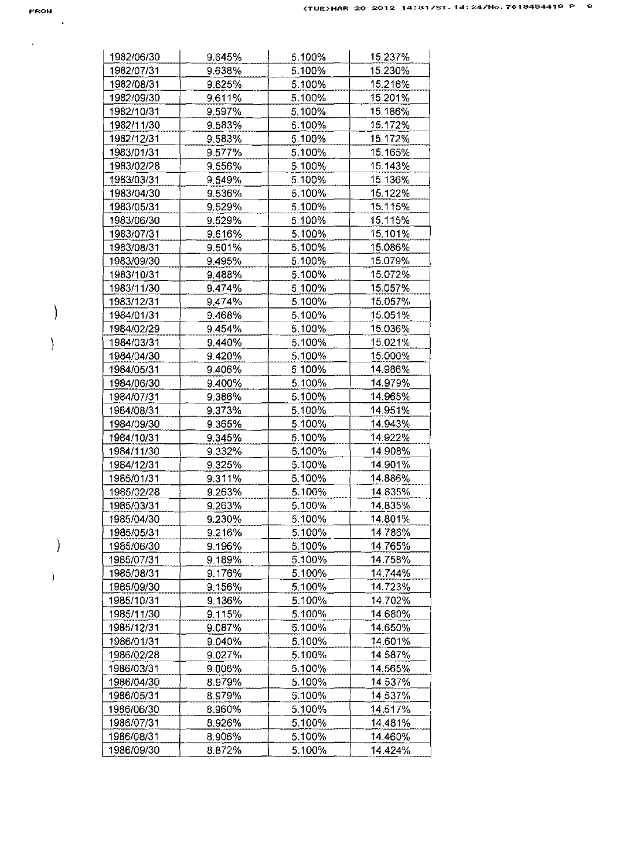$\frac{1}{\sqrt{2}}$ 

 $\mathcal{A}$ 

 $\mathcal{E}$ 

 $\bigg)$ 

 $\Big)$ 

Ì

| 1982/06/30               | 9.645% | 5.100% | 15.237% |
|--------------------------|--------|--------|---------|
| 1982/07/31               | 9.638% | 5.100% | 15.230% |
| 1982/08/31               | 9.625% | 5.100% | 15.216% |
| 1982/09/30               | 9.611% | 5.100% | 15.201% |
| 1982/10/31               | 9.597% | 5.100% | 15.186% |
| 1982/11/30               | 9.583% | 5.100% | 15.172% |
| 1982/12/31               | 9.583% | 5.100% | 15.172% |
| 1983/01/31               | 9.577% | 5.100% | 15.165% |
| 1983/02/28               | 9.556% | 5.100% | 15.143% |
| 1983/03/31               | 9.549% | 5.100% | 15.136% |
| 1983/04/30               | 9.536% | 5.100% | 15.122% |
| 1983/05/31               | 9.529% | 5.100% | 15.115% |
| 1983/06/30               | 9.529% | 5.100% | 15.115% |
| 1983/07/31               | 9.516% | 5.100% | 15.101% |
| 1983/08/31               | 9.501% | 5.100% | 15.086% |
| 1983/09/30               | 9.495% | 5.100% | 15.079% |
| 1983/10/31               | 9.488% | 5.100% | 15.072% |
| 1983/11/30               | 9.474% | 5.100% | 15.057% |
| 1983/12/31               | 9.474% | 5.100% | 15.057% |
| 1984/01/31               | 9.468% | 5.100% | 15.051% |
|                          | 9.454% | 5.100% | 15.036% |
| 1984/02/29<br>1984/03/31 |        |        | 15.021% |
|                          | 9.440% | 5.100% |         |
| 1984/04/30               | 9.420% | 5.100% | 15.000% |
| 1984/05/31               | 9.406% | 5.100% | 14.986% |
| 1984/06/30               | 9.400% | 5.100% | 14.979% |
| 1984/07/31               | 9.386% | 5.100% | 14.965% |
| 1984/08/31               | 9.373% | 5.100% | 14.951% |
| 1984/09/30               | 9.365% | 5.100% | 14.943% |
| 1984/10/31               | 9.345% | 5.100% | 14.922% |
| 1984/11/30               | 9.332% | 5.100% | 14.908% |
| 1984/12/31               | 9325%  | 5.100% | 14.901% |
| 1985/01/31               | 9.311% | 5.100% | 14.886% |
| 1985/02/28               | 9.263% | 5.100% | 14.835% |
| 1985/03/31               | 9.263% | 5.100% | 14.835% |
| 1985/04/30               | 9.230% | 5.100% | 14.801% |
| 1985/05/31               | 9.216% | 5.100% | 14.786% |
| 1985/06/30               | 9.196% | 5.100% | 14 765% |
| 1985/07/31               | 9.189% | 5.100% | 14.758% |
| 1985/08/31               | 9.176% | 5.100% | 14.744% |
| 1985/09/30               | 9.156% | 5.100% | 14.723% |
| 1985/10/31               | 9.136% | 5.100% | 14.702% |
| 1985/11/30               | 9.115% | 5.100% | 14.680% |
| 1985/12/31               | 9.087% | 5.100% | 14.650% |
| 1986/01/31               | 9.040% | 5.100% | 14.601% |
| 1986/02/28               | 9.027% | 5.100% | 14.587% |
| 1986/03/31               | 9.006% | 5.100% | 14.565% |
| 1986/04/30               | 8.979% | 5.100% | 14.537% |
| 1986/05/31               | 8.979% | 5.100% | 14.537% |
| 1986/06/30               | 8.960% | 5.100% | 14.517% |
| 1986/07/31               | 8.926% | 5.100% | 14.481% |
| 1986/08/31               | 8.906% | 5.100% | 14.460% |
| 1986/09/30               | 8.872% | 5.100% | 14.424% |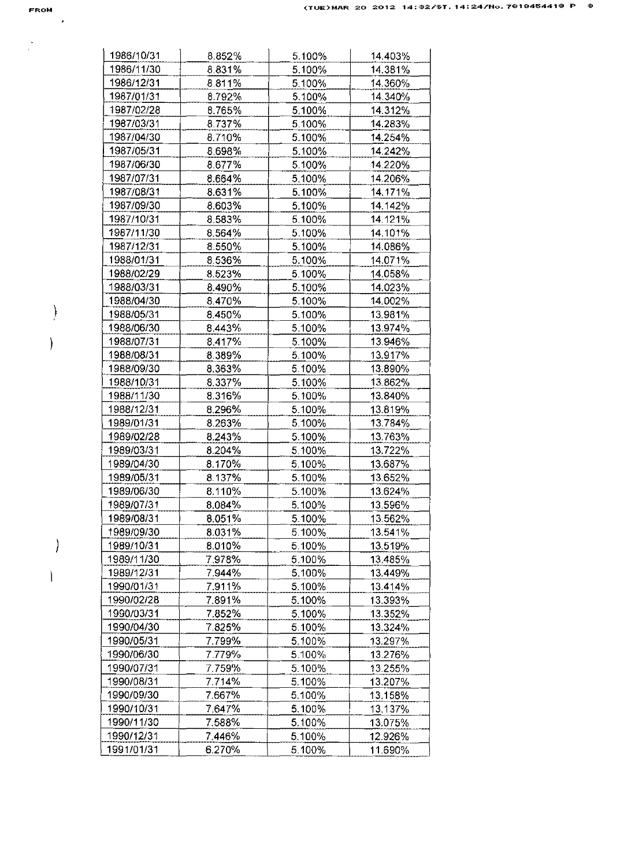$\frac{1}{\sqrt{2}}$ 

 $\mathcal{A}$ 

 $\Big)$ 

 $\overline{\phantom{a}}$ 

 $\left| \right\rangle$ 

 $\begin{array}{c} \hline \end{array}$ 

| 1986/10/31 | 8.852%    | 5.100% | 14.403% |
|------------|-----------|--------|---------|
| 1986/11/30 | 8.831%    | 5.100% | 14.381% |
| 1986/12/31 | 8811%     | 5.100% | 14.360% |
| 1987/01/31 | 8.792%    | 5.100% | 14.340% |
| 1987/02/28 | 8.765%    | 5.100% | 14.312% |
| 1987/03/31 | 8.737%    | 5.100% | 14.283% |
| 1987/04/30 | 8.710%    | 5.100% | 14.254% |
| 1987/05/31 | 8.698%    | 5.100% | 14.242% |
| 1987/06/30 | 8.677%    | 5.100% | 14.220% |
| 1987/07/31 | 8.664%    | 5.100% | 14.206% |
| 1987/08/31 | 8.631%    | 5.100% | 14.171% |
| 1987/09/30 | 8.603%    | 5.100% | 14.142% |
| 1987/10/31 | 8.583%    | 5.100% | 14.121% |
| 1987/11/30 | 8.564%    | 5.100% | 14.101% |
| 1987/12/31 | 8.550%    | 5.100% | 14.086% |
| 1988/01/31 | 8.536%    | 5.100% | 14.071% |
| 1988/02/29 | 8.523%    | 5.100% | 14.058% |
| 1988/03/31 | 8.490%    | 5.100% | 14.023% |
| 1988/04/30 | 8.470%    | 5.100% | 14.002% |
| 1988/05/31 | 8.450%    | 5.100% | 13.981% |
| 1988/06/30 | 8 4 4 3 % | 5.100% | 13.974% |
| 1988/07/31 | 8.417%    | 5.100% | 13.946% |
| 1988/08/31 | 8.389%    | 5.100% | 13.917% |
| 1988/09/30 | 8.363%    | 5.100% | 13.890% |
| 1988/10/31 | 8.337%    | 5.100% | 13.862% |
| 1988/11/30 | 8.316%    | 5.100% | 13.840% |
| 1988/12/31 | 8.296%    | 5.100% | 13.819% |
| 1989/01/31 | 8.263%    | 5.100% | 13.784% |
| 1989/02/28 | 8.243%    | 5.100% | 13.763% |
| 1989/03/31 | 8.204%    | 5.100% | 13.722% |
| 1989/04/30 | 8.170%    | 5.100% | 13.687% |
| 1989/05/31 | 8.137%    | 5.100% | 13.652% |
| 1989/06/30 | 8.110%    | 5.100% | 13.624% |
| 1989/07/31 | 8.084%    | 5.100% | 13.596% |
| 1989/08/31 | $8.051\%$ | 5.100% | 13.562% |
| 1989/09/30 | 8.031%    | 5.100% | 13.541% |
| 1989/10/31 | 8.010%    | 5.100% | 13.519% |
| 1989/11/30 | 7978%     | 5.100% | 13.485% |
| 1989/12/31 | 7.944%    | 5.100% | 13.449% |
| 1990/01/31 | 7.911%    | 5.100% | 13.414% |
| 1990/02/28 | 7.891%    | 5.100% | 13.393% |
| 1990/03/31 | 7.852%    | 5.100% | 13.352% |
| 1990/04/30 | 7.825%    | 5.100% | 13.324% |
| 1990/05/31 | 7.799%    | 5.100% | 13.297% |
| 1990/06/30 | 7.779%    | 5.100% | 13.276% |
| 1990/07/31 | 7.759%    | 5.100% | 13.255% |
| 1990/08/31 | 7.714%    | 5.100% | 13.207% |
| 1990/09/30 | 7.667%    | 5.100% | 13.158% |
| 1990/10/31 | 7.647%    | 5.100% | 13.137% |
| 1990/11/30 | 7.588%    | 5.100% | 13.075% |
| 1990/12/31 | 7.446%    | 5.100% |         |
| 1991/01/31 | 6.270%    |        | 12.926% |
|            |           | 5.100% | 11.690% |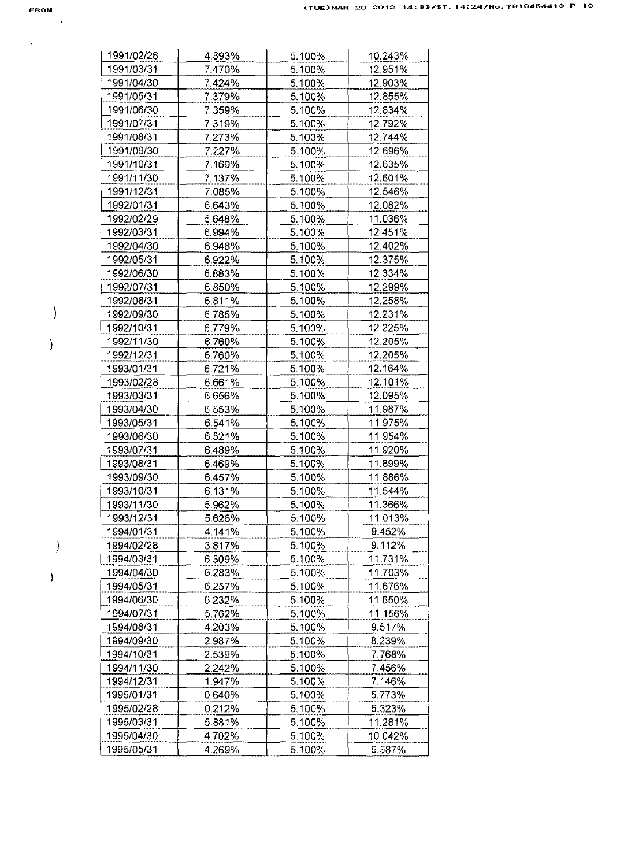$\hat{\mathcal{A}}$ 

 $\mathcal{A}$ 

 $\overline{\phantom{a}}$ 

 $\big)$ 

 $\begin{array}{c} \end{array}$ 

 $\overline{\phantom{a}}$ 

| 1991/02/28 | 4.893% | 5.100% | 10.243% |
|------------|--------|--------|---------|
| 1991/03/31 | 7.470% | 5.100% | 12.951% |
| 1991/04/30 | 7.424% | 5.100% | 12.903% |
| 1991/05/31 | 7.379% | 5.100% | 12.855% |
| 1991/06/30 | 7.359% | 5.100% | 12.834% |
| 1991/07/31 | 7.319% | 5.100% | 12.792% |
| 1991/08/31 | 7.273% | 5.100% | 12.744% |
| 1991/09/30 | 7.227% | 5.100% | 12.696% |
| 1991/10/31 | 7.169% | 5.100% | 12.635% |
| 1991/11/30 | 7.137% | 5.100% | 12.601% |
| 1991/12/31 | 7.085% | 5.100% | 12.546% |
| 1992/01/31 | 6.643% | 5.100% | 12.082% |
| 1992/02/29 | 5.648% | 5.100% | 11.036% |
| 1992/03/31 | 6.994% | 5.100% | 12.451% |
| 1992/04/30 | 6.948% | 5.100% | 12.402% |
| 1992/05/31 | 6.922% | 5.100% | 12.375% |
| 1992/06/30 | 6.883% | 5.100% | 12.334% |
| 1992/07/31 | 6.850% | 5.100% | 12.299% |
| 1992/08/31 | 6.811% | 5.100% | 12.258% |
| 1992/09/30 | 6.785% | 5.100% | 12.231% |
| 1992/10/31 | 6.779% | 5.100% | 12.225% |
| 1992/11/30 | 6.760% | 5.100% | 12.205% |
| 1992/12/31 | 6.760% | 5.100% | 12.205% |
| 1993/01/31 | 6.721% | 5.100% | 12.164% |
| 1993/02/28 | 6.661% | 5.100% | 12.101% |
| 1993/03/31 | 6.656% | 5.100% | 12.095% |
| 1993/04/30 | 6.553% | 5.100% | 11.987% |
| 1993/05/31 | 6.541% | 5.100% | 11.975% |
| 1993/06/30 | 6.521% | 5.100% | 11.954% |
| 1993/07/31 | 6.489% | 5.100% | 11.920% |
| 1993/08/31 | 6.469% | 5.100% | 11.899% |
| 1993/09/30 | 6.457% | 5.100% | 11.886% |
| 1993/10/31 | 6.131% | 5.100% | 11.544% |
| 1993/11/30 | 5.962% | 5.100% | 11.366% |
| 1993/12/31 | 5.626% | 5.100% | 11.013% |
| 1994/01/31 | 4.141% | 5.100% | 9.452%  |
| 1994/02/28 | 3.817% | 5.100% | 9.112%  |
| 1994/03/31 | 6.309% | 5.100% | 11.731% |
| 1994/04/30 | 6.283% | 5.100% | 11.703% |
| 1994/05/31 | 6.257% | 5.100% | 11.676% |
| 1994/06/30 | 6.232% | 5.100% | 11.650% |
| 1994/07/31 | 5.762% | 5.100% | 11.156% |
| 1994/08/31 | 4.203% | 5.100% | 9.517%  |
| 1994/09/30 | 2.987% | 5.100% | 8.239%  |
| 1994/10/31 |        |        | 7.768%  |
|            | 2.539% | 5.100% |         |
| 1994/11/30 | 2.242% | 5.100% | 7.456%  |
| 1994/12/31 | 1.947% | 5.100% | 7.146%  |
| 1995/01/31 | 0.640% | 5.100% | 5.773%  |
| 1995/02/28 | 0.212% | 5.100% | 5.323%  |
| 1995/03/31 | 5.881% | 5.100% | 11.281% |
| 1995/04/30 | 4.702% | 5.100% | 10.042% |
| 1995/05/31 | 4.269% | 5.100% | 9.587%  |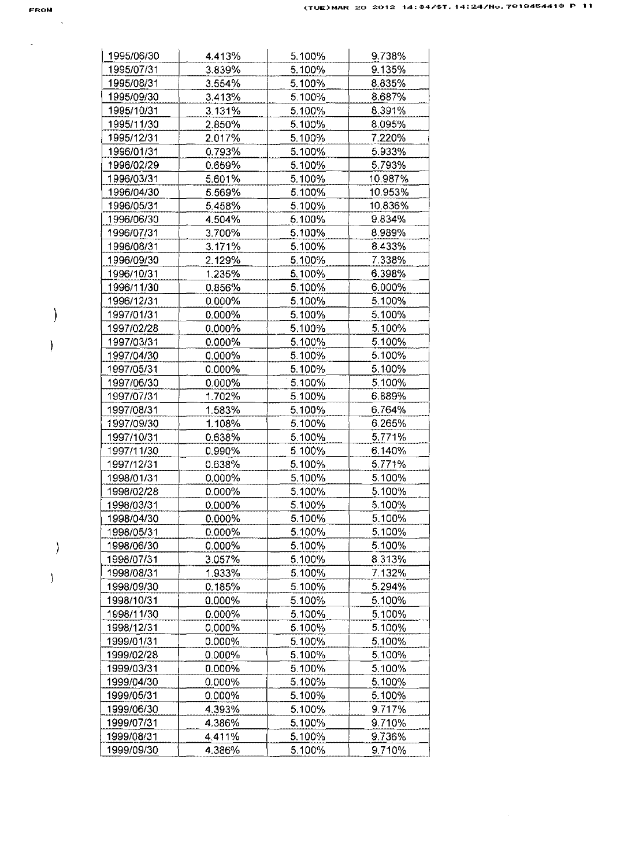|  |  | ROM |
|--|--|-----|

 $\mathbf{x}^{(i)}$  and  $\mathbf{y}^{(i)}$ 

 $\cdot$ 

 $\overline{\phantom{a}}$ 

-)

 $\big)$ 

 $\sim 10^{-11}$ 

| 1995/06/30               | 4.413%           | 5.100%           | 9.738%           |
|--------------------------|------------------|------------------|------------------|
| 1995/07/31               | 3.839%           | 5.100%           | 9.135%           |
| 1995/08/31               | 3.554%           | 5.100%           | 8.835%           |
| 1995/09/30               | 3.413%           | 5.100%           | 8.687%           |
| 1995/10/31               | 3.131%           | 5.100%           | 8.391%           |
| 1995/11/30               | 2.850%           | 5.100%           | 8.095%           |
| 1995/12/31               | 2.017%           | 5.100%           | 7.220%           |
| 1996/01/31               | 0.793%           | 5.100%           | 5.933%           |
| 1996/02/29               | 0.659%           | 5.100%           | 5.793%           |
| 1996/03/31               | 5.601%           | 5.100%           | 10.987%          |
| 1996/04/30               | 5.569%           | 5.100%           | 10.953%          |
| 1996/05/31               | 5.458%           | 5.100%           | 10.836%          |
| 1996/06/30               | 4.504%           | 5.100%           | 9.834%           |
| 1996/07/31               | 3.700%           | 5.100%           | 8.989%           |
| 1996/08/31               | 3.171%           | 5.100%           | 8.433%           |
| 1996/09/30               | 2.129%           | 5.100%           | 7.338%           |
| 1996/10/31               | 1.235%           | 5.100%           | 6.398%           |
| 1996/11/30               | 0.856%           | 5.100%           | 6.000%           |
| 1996/12/31               |                  | 5.100%           | 5.100%           |
|                          | 0.000%           |                  |                  |
| 1997/01/31               | 0.000%           | 5.100%           | 5.100%           |
| 1997/02/28               | 0.000%           | 5.100%           | 5.100%           |
| 1997/03/31               | 0.000%           | 5.100%           | 5.100%           |
| 1997/04/30               | 0.000%           | 5.100%           | 5.100%           |
| 1997/05/31               | 0.000%           | 5.100%           | 5.100%           |
| 1997/06/30               | 0.000%           | 5.100%           | 5.100%           |
| 1997/07/31               | 1.702%           | 5.100%           | 6.889%           |
| 1997/08/31               | 1.583%           | 5.100%           | 6.764%           |
| 1997/09/30               | 1.108%           | 5.100%           | 6.265%           |
| 1997/10/31               | 0.638%           | 5.100%           | 5.771%           |
| 1997/11/30               | 0.990%           | 5.100%           | 6.140%           |
| 1997/12/31               | 0.638%           | 5.100%           | 5.771%           |
| 1998/01/31               | 0.000%           | 5.100%           | 5.100%           |
| 1998/02/28               | 0.000%           | 5.100%           | 5.100%           |
| 1998/03/31               | 0.000%           | 5.100%           | 5.100%           |
| 1998/04/30               | 0.000%           | 5.100%           | 5.100%           |
| 1998/05/31               | $0.000\%$        | 5.100%           | 5.100%           |
| 1998/06/30               | 0.000%           | 5.100%           | 5.100%           |
| 1998/07/31               | 3.057%           | 5.100%           | 8.313%           |
| 1998/08/31               | 1.933%           | 5.100%           | 7.132%           |
| 1998/09/30               | 0.185%           | 5.100%           | 5.294%           |
| 1998/10/31               | 0.000%           | 5.100%           | 5.100%           |
| 1998/11/30               | 0.000%           | 5.100%           | 5.100%           |
| 1998/12/31               | 0.000%           | 5.100%           | 5.100%           |
| 1999/01/31               | 0.000%           | 5.100%           | 5.100%           |
| 1999/02/28               | $0.000\%$        | 5.100%           | 5.100%           |
| 1999/03/31               | 0.000%           | 5.100%           | 5.100%           |
| 1999/04/30               | 0.000%           | 5.100%           | 5.100%           |
|                          | 0.000%           | 5.100%           | 5.100%           |
|                          |                  |                  |                  |
| 1999/05/31               |                  |                  |                  |
| 1999/06/30               | 4.393%           | 5.100%           | 9.717%           |
| 1999/07/31<br>1999/08/31 | 4.386%<br>4.411% | 5.100%<br>5.100% | 9.710%<br>9.736% |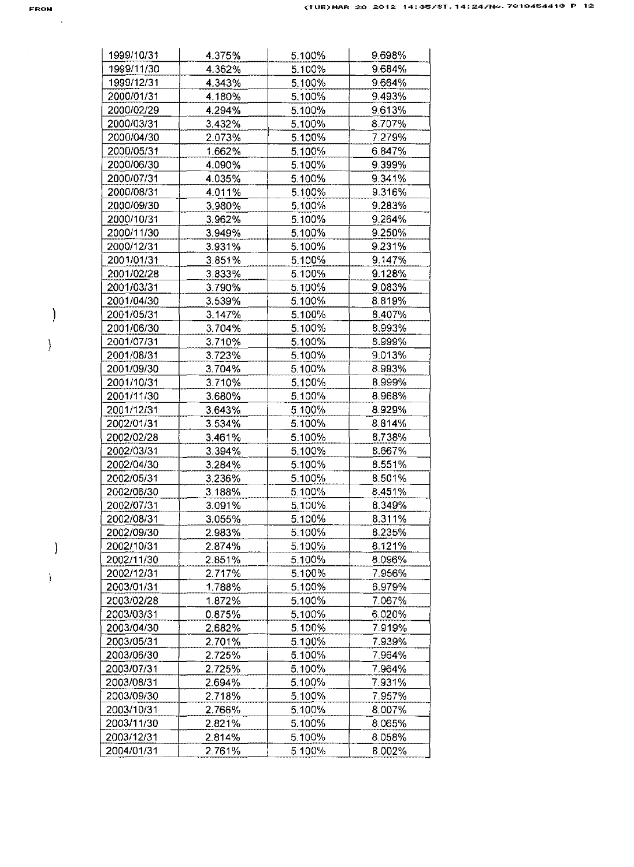$\mathcal{E}$ 

 $\overline{\phantom{a}}$ 

 $\overline{\phantom{a}}$ 

 $\big\}$ 

| 1999/10/31 | 4.375% | 5.100% | 9.698% |
|------------|--------|--------|--------|
| 1999/11/30 | 4.362% | 5.100% | 9.684% |
| 1999/12/31 | 4.343% | 5.100% | 9.664% |
| 2000/01/31 | 4.180% | 5.100% | 9.493% |
| 2000/02/29 | 4.294% | 5.100% | 9.613% |
| 2000/03/31 | 3.432% | 5.100% | 8.707% |
| 2000/04/30 | 2.073% | 5.100% | 7.279% |
| 2000/05/31 | 1.662% | 5.100% | 6.847% |
| 2000/06/30 | 4.090% | 5.100% | 9.399% |
| 2000/07/31 | 4.035% | 5.100% | 9.341% |
| 2000/08/31 | 4.011% | 5.100% | 9.316% |
| 2000/09/30 | 3.980% | 5.100% | 9.283% |
| 2000/10/31 | 3.962% | 5.100% | 9.264% |
| 2000/11/30 | 3.949% | 5.100% | 9.250% |
| 2000/12/31 | 3.931% | 5.100% | 9.231% |
| 2001/01/31 | 3851%  | 5.100% | 9.147% |
| 2001/02/28 | 3.833% | 5.100% | 9.128% |
| 2001/03/31 | 3.790% | 5.100% | 9.083% |
| 2001/04/30 | 3.539% | 5.100% | 8.819% |
| 2001/05/31 | 3.147% | 5.100% | 8.407% |
| 2001/06/30 | 3.704% | 5.100% | 8.993% |
| 2001/07/31 | 3.710% | 5.100% | 8.999% |
| 2001/08/31 | 3.723% | 5.100% | 9.013% |
| 2001/09/30 | 3.704% | 5.100% | 8.993% |
| 2001/10/31 | 3.710% | 5.100% | 8.999% |
| 2001/11/30 | 3.680% | 5.100% | 8.968% |
| 2001/12/31 | 3.643% | 5.100% | 8.929% |
| 2002/01/31 | 3.534% | 5.100% | 8.814% |
| 2002/02/28 | 3.461% | 5.100% | 8.738% |
| 2002/03/31 | 3.394% | 5.100% | 8.667% |
| 2002/04/30 | 3.284% | 5.100% | 8.551% |
| 2002/05/31 | 3.236% | 5.100% | 8.501% |
| 2002/06/30 | 3.188% | 5.100% | 8.451% |
| 2002/07/31 | 3.091% | 5.100% | 8.349% |
| 2002/08/31 | 3.055% | 5.100% | 8.311% |
| 2002/09/30 | 2.983% | 5.100% | 8.235% |
| 2002/10/31 | 2.874% | 5.100% | 8.121% |
| 2002/11/30 | 2.851% | 5.100% | 8.096% |
| 2002/12/31 | 2.717% | 5.100% | 7.956% |
| 2003/01/31 | 1.788% | 5.100% | 6.979% |
| 2003/02/28 | 1.872% | 5.100% | 7.067% |
| 2003/03/31 | 0.875% | 5.100% | 6.020% |
| 2003/04/30 | 2.682% | 5.100% | 7.919% |
| 2003/05/31 | 2.701% | 5.100% | 7.939% |
| 2003/06/30 | 2.725% | 5.100% | 7.964% |
| 2003/07/31 | 2.725% | 5.100% | 7.964% |
| 2003/08/31 | 2.694% | 5.100% | 7.931% |
| 2003/09/30 | 2.718% | 5.100% | 7.957% |
| 2003/10/31 | 2.766% | 5.100% | 8.007% |
| 2003/11/30 | 2.821% | 5.100% | 8.065% |
| 2003/12/31 | 2.814% | 5.100% | 8.058% |
| 2004/01/31 | 2.761% | 5.100% | 8.002% |
|            |        |        |        |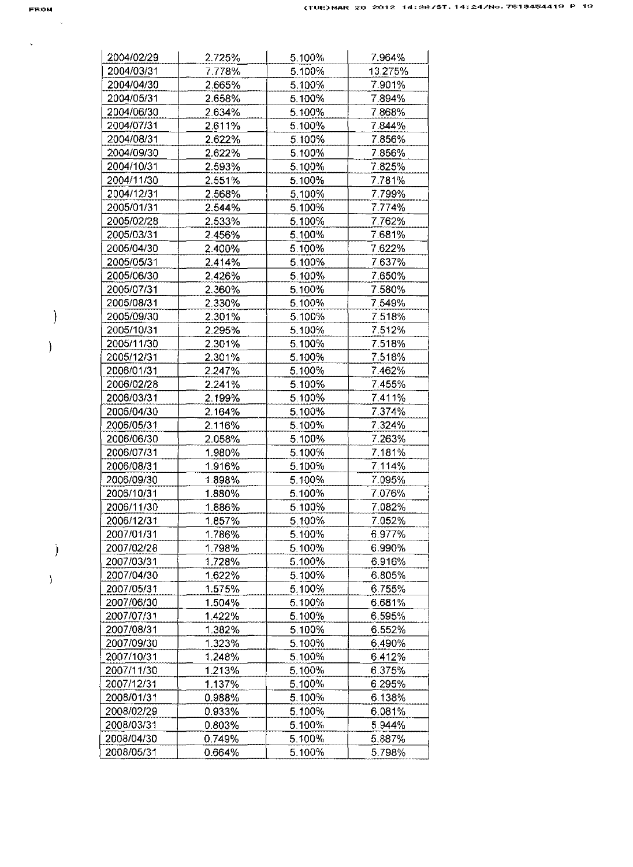$\sqrt{2}$ 

 $\bar{\mathcal{A}}$ 

 $\Big)$ 

 $\bar{\mathcal{Y}}$ 

 $\Big)$ 

 $\bar{1}$ 

| 2004/02/29 | 2.725% | 5.100% | 7.964%  |
|------------|--------|--------|---------|
| 2004/03/31 | 7.778% | 5.100% | 13.275% |
| 2004/04/30 | 2.665% | 5.100% | 7.901%  |
| 2004/05/31 | 2.658% | 5.100% | 7.894%  |
| 2004/06/30 | 2.634% | 5.100% | 7.868%  |
| 2004/07/31 | 2.611% | 5.100% | 7.844%  |
| 2004/08/31 | 2.622% | 5.100% | 7.856%  |
| 2004/09/30 | 2.622% | 5.100% | 7.856%  |
| 2004/10/31 | 2.593% | 5.100% | 7.825%  |
| 2004/11/30 | 2.551% | 5.100% | 7.781%  |
| 2004/12/31 | 2.568% | 5.100% | 7.799%  |
| 2005/01/31 | 2.544% | 5.100% | 7.774%  |
| 2005/02/28 | 2.533% | 5.100% | 7.762%  |
| 2005/03/31 | 2.456% | 5.100% | 7.681%  |
| 2005/04/30 | 2.400% | 5.100% | 7.622%  |
| 2005/05/31 | 2.414% | 5.100% | 7.637%  |
| 2005/06/30 |        |        |         |
|            | 2.426% | 5.100% | 7.650%  |
| 2005/07/31 | 2.360% | 5.100% | 7.580%  |
| 2005/08/31 | 2.330% | 5.100% | 7.549%  |
| 2005/09/30 | 2.301% | 5.100% | 7.518%  |
| 2005/10/31 | 2.295% | 5.100% | 7.512%  |
| 2005/11/30 | 2.301% | 5.100% | 7.518%  |
| 2005/12/31 | 2.301% | 5,100% | 7.518%  |
| 2006/01/31 | 2.247% | 5.100% | 7.462%  |
| 2006/02/28 | 2.241% | 5.100% | 7.455%  |
| 2006/03/31 | 2.199% | 5.100% | 7.411%  |
| 2006/04/30 | 2.164% | 5.100% | 7.374%  |
| 2006/05/31 | 2.116% | 5.100% | 7.324%  |
| 2006/06/30 | 2.058% | 5.100% | 7.263%  |
| 2006/07/31 | 1.980% | 5.100% | 7.181%  |
| 2006/08/31 | 1.916% | 5.100% | 7.114%  |
| 2006/09/30 | 1.898% | 5.100% | 7.095%  |
| 2006/10/31 | 1.880% | 5.100% | 7.076%  |
| 2006/11/30 | 1.886% | 5.100% | 7.082%  |
| 2006/12/31 | 1.857% | 5.100% | 7.052%  |
| 2007/01/31 | 1.786% | 5.100% | 6.977%  |
| 2007/02/28 | 1.798% | 5.100% | 6.990%  |
| 2007/03/31 | 1.728% | 5.100% | 6.916%  |
| 2007/04/30 | 1.622% | 5.100% | 6.805%  |
| 2007/05/31 | 1.575% | 5.100% | 6.755%  |
| 2007/06/30 | 1.504% | 5.100% | 6.681%  |
| 2007/07/31 | 1.422% | 5.100% | 6.595%  |
| 2007/08/31 | 1.382% | 5.100% | 6.552%  |
| 2007/09/30 | 1.323% | 5.100% | 6.490%  |
| 2007/10/31 | 1.248% | 5.100% | 6.412%  |
| 2007/11/30 | 1.213% | 5.100% | 6.375%  |
| 2007/12/31 | 1.137% | 5.100% | 6.295%  |
| 2008/01/31 | 0.988% | 5.100% | 6.138%  |
| 2008/02/29 | 0.933% | 5.100% | 6.081%  |
| 2008/03/31 | 0.803% | 5.100% | 5.944%  |
| 2008/04/30 | 0.749% | 5.100% | 5.887%  |
| 2008/05/31 | 0.664% | 5.100% | 5.798%  |
|            |        |        |         |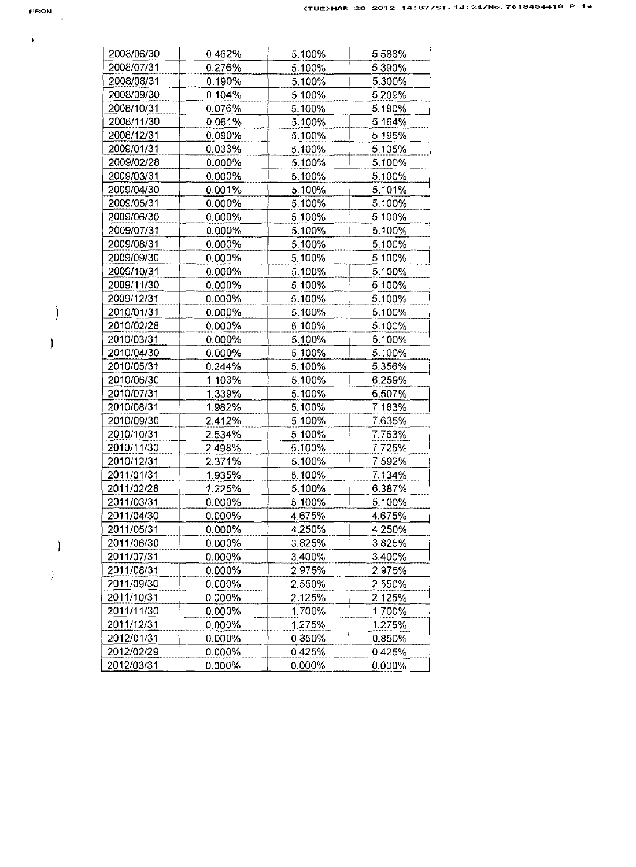$\mathbf{v} = \mathbf{v}$  .

 $\begin{array}{c} \end{array}$ 

 $\bar{\mathcal{Y}}$ 

 $\hspace{0.1cm}$  )

 $\frac{1}{2}$  .

| 2008/06/30 | 0.462%    | 5.100%           | 5.586%           |
|------------|-----------|------------------|------------------|
| 2008/07/31 | 0.276%    | 5.100%           | 5.390%           |
| 2008/08/31 | 0.190%    | 5.100%           | 5.300%           |
| 2008/09/30 | 0.104%    | 5.100%           | 5.209%           |
| 2008/10/31 | 0.076%    | 5.100%           | 5.180%           |
| 2008/11/30 | 0.061%    | 5.100%           | 5.164%           |
| 2008/12/31 | 0.090%    | 5.100%           | 5.195%           |
| 2009/01/31 | 0.033%    | 5.100%           | 5.135%           |
| 2009/02/28 | $0.000\%$ | 5.100%           | 5.100%           |
| 2009/03/31 | $0.000\%$ | 5.100%           | 5.100%           |
| 2009/04/30 | 0.001%    | 5.100%           | 5.101%           |
| 2009/05/31 | 0.000%    | 5.100%           | 5.100%           |
| 2009/06/30 | 0.000%    | 5.100%           | 5.100%           |
| 2009/07/31 | 0.000%    | 5.100%           | 5.100%           |
| 2009/08/31 | $0.000\%$ | 5.100%           | 5.100%           |
| 2009/09/30 | 0.000%    | 5.100%           | 5.100%           |
| 2009/10/31 | 0.000%    | 5.100%           | 5.100%           |
| 2009/11/30 | 0.000%    | 5.100%           | 5.100%           |
| 2009/12/31 | 0.000%    | 5.100%           | 5.100%           |
| 2010/01/31 | $0.000\%$ | 5.100%           | 5.100%           |
| 2010/02/28 | 0.000%    | 5.100%           | 5.100%           |
| 2010/03/31 | 0.000%    | 5.100%           | 5.100%           |
| 2010/04/30 | 0.000%    | 5.100%           | 5.100%           |
| 2010/05/31 | 0.244%    | 5.100%           | 5.356%           |
| 2010/06/30 | 1.103%    | 5.100%           | 6.259%           |
| 2010/07/31 | 1.339%    | 5.100%           | 6.507%           |
| 2010/08/31 | 1.982%    | 5.100%           | 7.183%           |
| 2010/09/30 | 2.412%    | 5.100%           | 7.635%           |
| 2010/10/31 | 2.534%    | 5.100%           | 7.763%           |
| 2010/11/30 | 2.498%    | 5.100%           | 7.725%           |
| 2010/12/31 | 2.371%    | 5.100%           | 7.592%           |
| 2011/01/31 | 1.935%    | 5.100%           | 7.134%           |
| 2011/02/28 | 1.225%    | 5.100%           | 6.387%           |
| 2011/03/31 | 0.000%    | 5.100%           | 5.100%           |
| 2011/04/30 | 0.000%    | 4.675%           | 4.675%           |
|            |           |                  |                  |
| 2011/05/31 | 0.000%    | 4.250%           | 4.250%           |
| 2011/06/30 | 0.000%    | 3.825%           | 3.825%           |
| 2011/07/31 | 0.000%    | 3.400%           | 3.400%           |
| 2011/08/31 | 0.000%    | 2.975%           | 2.975%           |
| 2011/09/30 | 0.000%    | 2.550%           | 2.550%           |
| 2011/10/31 | 0.000%    | 2.125%           | 2.125%           |
| 2011/11/30 | 0.000%    | 1.700%           | 1.700%           |
| 2011/12/31 | $0.000\%$ |                  | 1.275%           |
| 2012/01/31 | 0.000%    | 1.275%<br>0.850% |                  |
| 2012/02/29 | 0.000%    | 0.425%           | 0.850%<br>0.425% |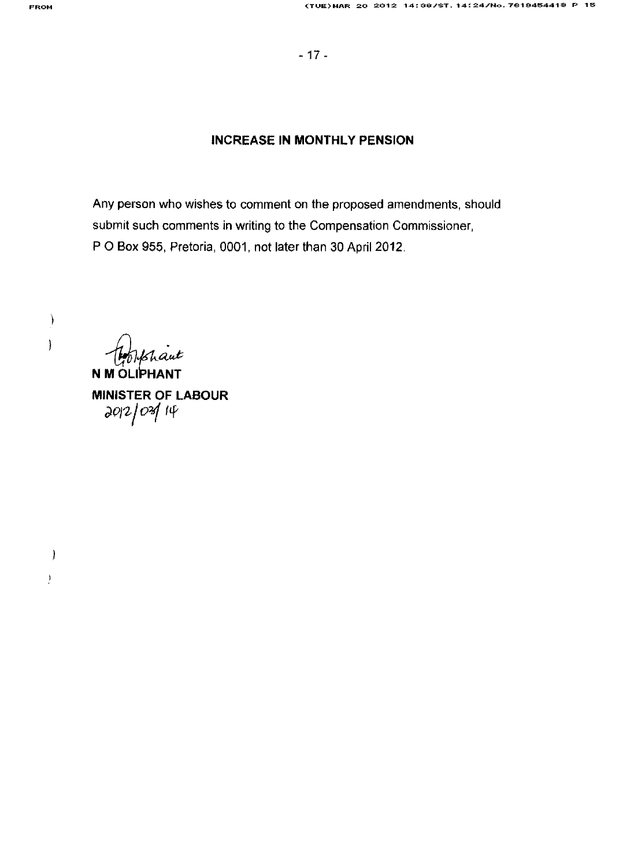$\begin{array}{c} \end{array}$ 

 $\overline{\phantom{a}}$ 

 $\left( \right)$ 

 $\frac{1}{2}$ 

#### **INCREASE IN MONTHLY PENSION**

Any person who wishes to comment on the proposed amendments, should submit such comments in writing to the Compensation Commissioner, P O Box 955, Pretoria, 0001, not later than 30 April 2012.

N M OLIPHANT

**MINISTER OF LABOUR**  $2012/03/14$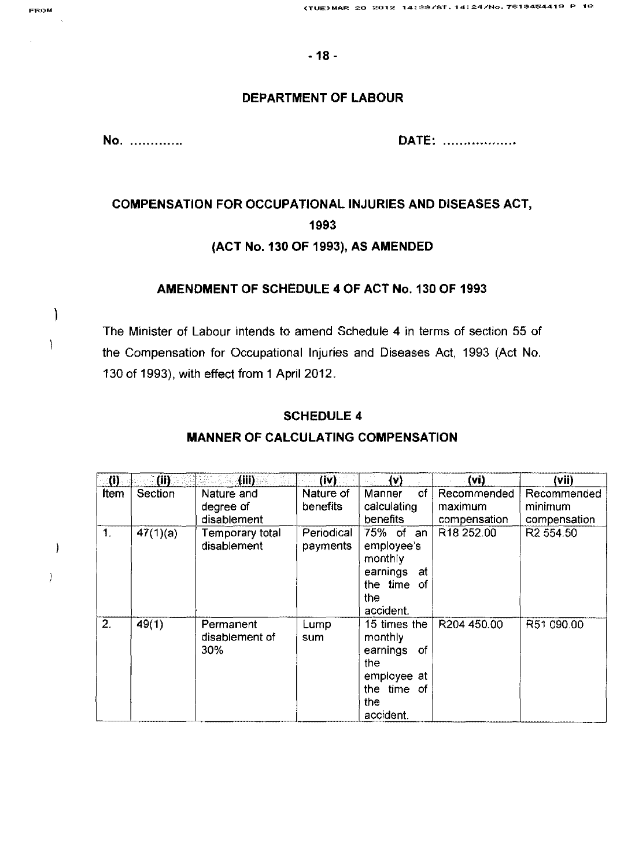## **DEPARTMENT OF LABOUR**

**No .** ............ . **DATE:** ................ "

# **COMPENSATION FOR OCCUPATIONAL INJURIES AND DISEASES ACT, 1993**

## **(ACT No. 130 OF 1993), AS AMENDED**

## **AMENDMENT OF SCHEDULE 4 OF ACT No. 130 OF 1993**

The Minister of Labour intends to amend Schedule 4 in terms of section 55 of the Compensation for Occupational Injuries and Diseases Act, 1993 (Act No. 130 of 1993), with effect from 1 April 2012.

### **SCHEDULE 4**

| (i)            | (11)     | (iii)                                  | (iv)                   | (v)                                                                                                 | (vi)                                   | (Vii)                                  |
|----------------|----------|----------------------------------------|------------------------|-----------------------------------------------------------------------------------------------------|----------------------------------------|----------------------------------------|
| Item           | Section  | Nature and<br>degree of<br>disablement | Nature of<br>benefits  | οf<br>Manner<br>calculating<br>benefits                                                             | Recommended<br>maximum<br>compensation | Recommended<br>minimum<br>compensation |
| $\mathbf{1}$ . | 47(1)(a) | Temporary total<br>disablement         | Periodical<br>payments | 75% of an<br>employee's<br>monthly<br>earnings<br>at<br>the time of<br>the<br>accident.             | R18 252.00                             | R <sub>2</sub> 554.50                  |
| 2.             | 49(1)    | Permanent<br>disablement of<br>30%     | Lump<br>sum            | 15 times the<br>monthly<br>earnings<br>-of<br>the<br>employee at<br>the time of<br>the<br>accident. | R204 450.00                            | R51 090.00                             |

#### **MANNER OF CALCULATING COMPENSATION**

 $\big)$ 

 $\Big)$ 

 $\overline{\phantom{a}}$ 

 $\left.\rule{0cm}{1.25cm}\right)$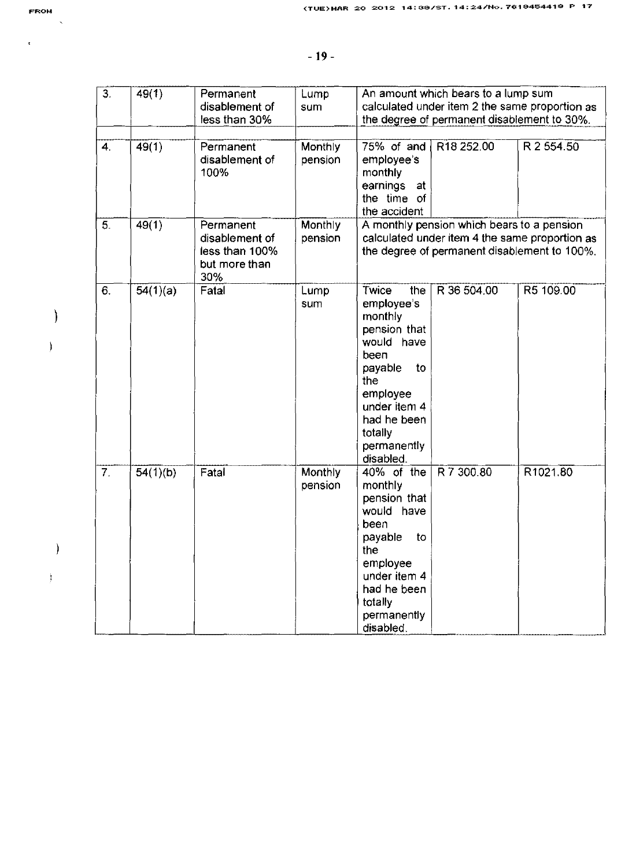$\bar{\mathbf{r}}$ 

 $\overline{a}$ 

| 3.               | 49(1)    | Permanent<br>disablement of<br>less than 30%                          | Lump<br>sum        | An amount which bears to a lump sum<br>calculated under item 2 the same proportion as<br>the degree of permanent disablement to 30%.                                                                              |  |  |
|------------------|----------|-----------------------------------------------------------------------|--------------------|-------------------------------------------------------------------------------------------------------------------------------------------------------------------------------------------------------------------|--|--|
| 4.               | 49(1)    | Permanent<br>disablement of<br>100%                                   | Monthly<br>pension | 75% of and<br>R18 252.00<br>R 2 554.50<br>employee's<br>monthly<br>earnings<br>at<br>the time of<br>the accident                                                                                                  |  |  |
| 5.               | 49(1)    | Permanent<br>disablement of<br>less than 100%<br>but more than<br>30% | Monthly<br>pension | A monthly pension which bears to a pension<br>calculated under item 4 the same proportion as<br>the degree of permanent disablement to 100%.                                                                      |  |  |
| 6.               | 54(1)(a) | Fatal                                                                 | Lump<br>sum        | R5 109.00<br>Twice<br>R 36 504.00<br>the<br>employee's<br>monthly<br>pension that<br>would have<br>been<br>payable<br>to<br>the<br>employee<br>under item 4<br>had he been<br>totally<br>permanently<br>disabled. |  |  |
| $\overline{7}$ . | 54(1)(b) | Fatal                                                                 | Monthly<br>pension | R 7 300.80<br>R1021.80<br>40% of the<br>monthly<br>pension that<br>would have<br>been<br>payable<br>to<br>the<br>employee<br>under item 4<br>had he been<br>totally<br>permanently<br>disabled.                   |  |  |

- $\begin{array}{c} \hline \end{array}$  $\overline{\phantom{a}}$
- 

 $\hspace{0.1cm}$  )

 $\big\}$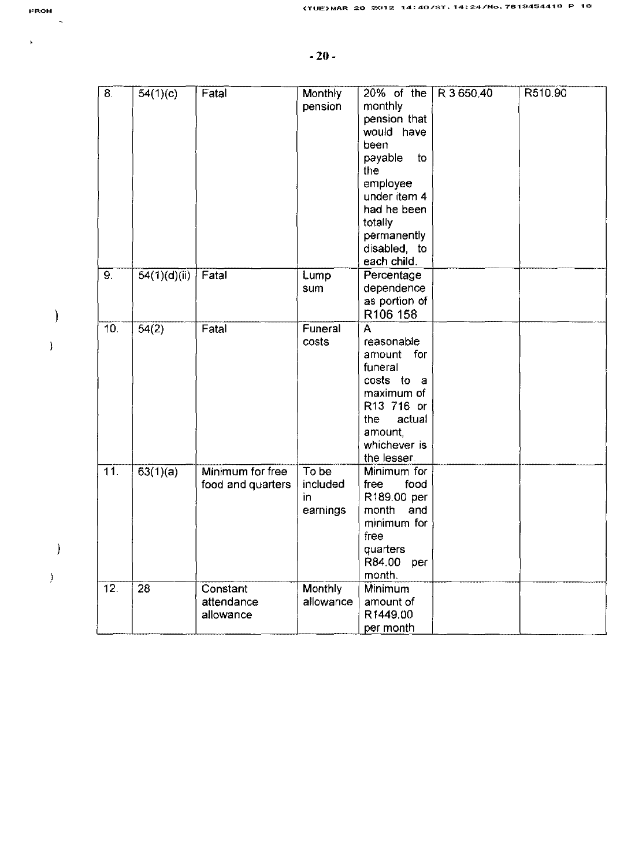| $\overline{8}$ .  | 54(1)(c)     | Fatal             | Monthly   | $20\%$ of the   | R 3 650.40 | R510.90 |
|-------------------|--------------|-------------------|-----------|-----------------|------------|---------|
|                   |              |                   | pension   | monthly         |            |         |
|                   |              |                   |           | pension that    |            |         |
|                   |              |                   |           | would have      |            |         |
|                   |              |                   |           | been            |            |         |
|                   |              |                   |           | payable<br>to   |            |         |
|                   |              |                   |           | the             |            |         |
|                   |              |                   |           | employee        |            |         |
|                   |              |                   |           | under item 4    |            |         |
|                   |              |                   |           | had he been     |            |         |
|                   |              |                   |           | totally         |            |         |
|                   |              |                   |           | permanently     |            |         |
|                   |              |                   |           | disabled, to    |            |         |
|                   |              |                   |           | each child.     |            |         |
| 9.                | 54(1)(d)(ii) | Fatal             | Lump      | Percentage      |            |         |
|                   |              |                   | sum       | dependence      |            |         |
|                   |              |                   |           | as portion of   |            |         |
|                   |              |                   |           | R106 158        |            |         |
| 10.               | 54(2)        | Fatal             | Funeral   | A               |            |         |
|                   |              |                   | costs     | reasonable      |            |         |
|                   |              |                   |           | amount for      |            |         |
|                   |              |                   |           | funeral         |            |         |
|                   |              |                   |           | costs to<br>- a |            |         |
|                   |              |                   |           | maximum of      |            |         |
|                   |              |                   |           | R13 716 or      |            |         |
|                   |              |                   |           | the<br>actual   |            |         |
|                   |              |                   |           | amount,         |            |         |
|                   |              |                   |           | whichever is    |            |         |
|                   |              |                   |           | the lesser.     |            |         |
| 11.               | 63(1)(a)     | Minimum for free  | To be     | Minimum for     |            |         |
|                   |              | food and quarters | included  | free<br>food    |            |         |
|                   |              |                   | in        | R189.00 per     |            |         |
|                   |              |                   | earnings  | month<br>and    |            |         |
|                   |              |                   |           | minimum for     |            |         |
|                   |              |                   |           | free            |            |         |
|                   |              |                   |           | quarters        |            |         |
|                   |              |                   |           | R84.00<br>per   |            |         |
|                   |              |                   |           | month.          |            |         |
| $\overline{12}$ . | 28           | Constant          | Monthly   | Minimum         |            |         |
|                   |              | attendance        | allowance | amount of       |            |         |
|                   |              | allowance         |           | R1449.00        |            |         |
|                   |              |                   |           | per month       |            |         |

 $\ddot{\phantom{1}}$ 

 $\overline{\phantom{a}}$ 

 $\begin{array}{c} \end{array}$ 

 $\bar{\mathbf{j}}$ 

 $\hspace{0.1cm}$  )

 $\Big)$